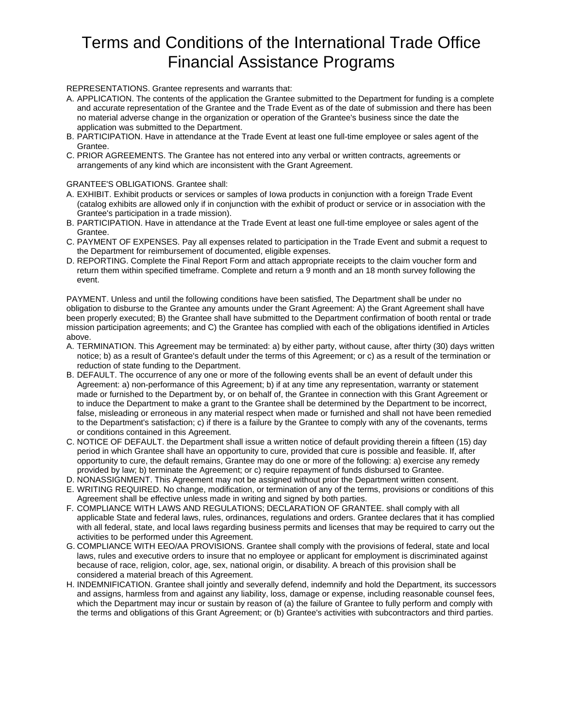## Terms and Conditions of the International Trade Office Financial Assistance Programs

REPRESENTATIONS. Grantee represents and warrants that:

- A. APPLICATION. The contents of the application the Grantee submitted to the Department for funding is a complete and accurate representation of the Grantee and the Trade Event as of the date of submission and there has been no material adverse change in the organization or operation of the Grantee's business since the date the application was submitted to the Department.
- B. PARTICIPATION. Have in attendance at the Trade Event at least one full-time employee or sales agent of the Grantee.
- C. PRIOR AGREEMENTS. The Grantee has not entered into any verbal or written contracts, agreements or arrangements of any kind which are inconsistent with the Grant Agreement.

GRANTEE'S OBLIGATIONS. Grantee shall:

- A. EXHIBIT. Exhibit products or services or samples of Iowa products in conjunction with a foreign Trade Event (catalog exhibits are allowed only if in conjunction with the exhibit of product or service or in association with the Grantee's participation in a trade mission).
- B. PARTICIPATION. Have in attendance at the Trade Event at least one full-time employee or sales agent of the Grantee.
- C. PAYMENT OF EXPENSES. Pay all expenses related to participation in the Trade Event and submit a request to the Department for reimbursement of documented, eligible expenses.
- D. REPORTING. Complete the Final Report Form and attach appropriate receipts to the claim voucher form and return them within specified timeframe. Complete and return a 9 month and an 18 month survey following the event.

PAYMENT. Unless and until the following conditions have been satisfied, The Department shall be under no obligation to disburse to the Grantee any amounts under the Grant Agreement: A) the Grant Agreement shall have been properly executed; B) the Grantee shall have submitted to the Department confirmation of booth rental or trade mission participation agreements; and C) the Grantee has complied with each of the obligations identified in Articles above.

- A. TERMINATION. This Agreement may be terminated: a) by either party, without cause, after thirty (30) days written notice; b) as a result of Grantee's default under the terms of this Agreement; or c) as a result of the termination or reduction of state funding to the Department.
- B. DEFAULT. The occurrence of any one or more of the following events shall be an event of default under this Agreement: a) non-performance of this Agreement; b) if at any time any representation, warranty or statement made or furnished to the Department by, or on behalf of, the Grantee in connection with this Grant Agreement or to induce the Department to make a grant to the Grantee shall be determined by the Department to be incorrect, false, misleading or erroneous in any material respect when made or furnished and shall not have been remedied to the Department's satisfaction; c) if there is a failure by the Grantee to comply with any of the covenants, terms or conditions contained in this Agreement.
- C. NOTICE OF DEFAULT. the Department shall issue a written notice of default providing therein a fifteen (15) day period in which Grantee shall have an opportunity to cure, provided that cure is possible and feasible. If, after opportunity to cure, the default remains, Grantee may do one or more of the following: a) exercise any remedy provided by law; b) terminate the Agreement; or c) require repayment of funds disbursed to Grantee.
- D. NONASSIGNMENT. This Agreement may not be assigned without prior the Department written consent. E. WRITING REQUIRED. No change, modification, or termination of any of the terms, provisions or conditions of this
	- Agreement shall be effective unless made in writing and signed by both parties.
- F. COMPLIANCE WITH LAWS AND REGULATIONS; DECLARATION OF GRANTEE. shall comply with all applicable State and federal laws, rules, ordinances, regulations and orders. Grantee declares that it has complied with all federal, state, and local laws regarding business permits and licenses that may be required to carry out the activities to be performed under this Agreement.
- G. COMPLIANCE WITH EEO/AA PROVISIONS. Grantee shall comply with the provisions of federal, state and local laws, rules and executive orders to insure that no employee or applicant for employment is discriminated against because of race, religion, color, age, sex, national origin, or disability. A breach of this provision shall be considered a material breach of this Agreement.
- H. INDEMNIFICATION. Grantee shall jointly and severally defend, indemnify and hold the Department, its successors and assigns, harmless from and against any liability, loss, damage or expense, including reasonable counsel fees, which the Department may incur or sustain by reason of (a) the failure of Grantee to fully perform and comply with the terms and obligations of this Grant Agreement; or (b) Grantee's activities with subcontractors and third parties.